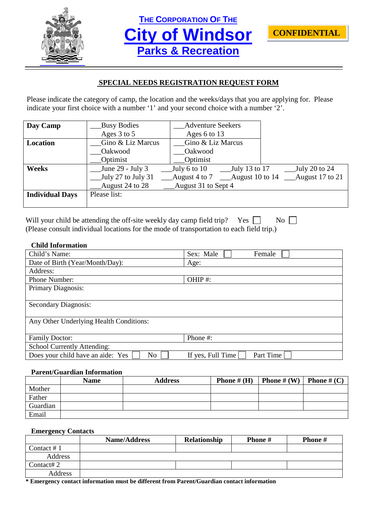

**THE CORPORATION OF THE City of Windsor Parks & Recreation**



# **SPECIAL NEEDS REGISTRATION REQUEST FORM**

Please indicate the category of camp, the location and the weeks/days that you are applying for. Please indicate your first choice with a number '1' and your second choice with a number '2'.

| Day Camp               | <b>Busy Bodies</b> | <b>Adventure Seekers</b>                               |                 |
|------------------------|--------------------|--------------------------------------------------------|-----------------|
|                        | Ages 3 to 5        | Ages 6 to 13                                           |                 |
| Location               | Gino & Liz Marcus  | Gino & Liz Marcus                                      |                 |
|                        | Oakwood            | Oakwood                                                |                 |
|                        | Optimist           | Optimist                                               |                 |
| <b>Weeks</b>           | June 29 - July 3   | $_{\text{July 13 to 17}}$<br>July 6 to $10$            | July 20 to 24   |
|                        | July 27 to July 31 | August 4 to 7<br>$\frac{\text{August 10 to 14}}{1000}$ | August 17 to 21 |
|                        | August 24 to 28    | August 31 to Sept 4                                    |                 |
| <b>Individual Days</b> | Please list:       |                                                        |                 |
|                        |                    |                                                        |                 |

| Will your child be attending the off-site weekly day camp field trip? Yes $\Box$         | $\overline{N_0}$ |
|------------------------------------------------------------------------------------------|------------------|
| (Please consult individual locations for the mode of transportation to each field trip.) |                  |

## **Child Information**

| Child's Name:                                       | Sex: Male<br>Female            |
|-----------------------------------------------------|--------------------------------|
| Date of Birth (Year/Month/Day):                     | Age:                           |
| Address:                                            |                                |
| Phone Number:                                       | OHIP#:                         |
| Primary Diagnosis:                                  |                                |
|                                                     |                                |
| <b>Secondary Diagnosis:</b>                         |                                |
|                                                     |                                |
| Any Other Underlying Health Conditions:             |                                |
|                                                     |                                |
| <b>Family Doctor:</b>                               | Phone #:                       |
| School Currently Attending:                         |                                |
| Does your child have an aide: Yes<br>N <sub>o</sub> | If yes, Full Time<br>Part Time |

#### **Parent/Guardian Information**

|          | <b>Name</b> | <b>Address</b> | <b>Phone</b> # $(H)$ | <b>Phone</b> # $(W)$ | <b>Phone</b> # $(C)$ |
|----------|-------------|----------------|----------------------|----------------------|----------------------|
| Mother   |             |                |                      |                      |                      |
| Father   |             |                |                      |                      |                      |
| Guardian |             |                |                      |                      |                      |
| Email    |             |                |                      |                      |                      |

#### **Emergency Contacts**

|            | <b>Name/Address</b> | Relationship | <b>Phone</b> # | <b>Phone</b> # |
|------------|---------------------|--------------|----------------|----------------|
| Contact #1 |                     |              |                |                |
| Address    |                     |              |                |                |
| Contact#2  |                     |              |                |                |
| Address    |                     |              |                |                |

**\* Emergency contact information must be different from Parent/Guardian contact information**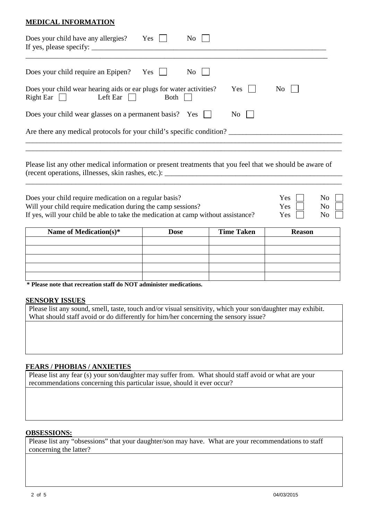# **MEDICAL INFORMATION**

| Does your child have any allergies?<br>If yes, please specify:                                         | Yes  | No.       |           |     |  |
|--------------------------------------------------------------------------------------------------------|------|-----------|-----------|-----|--|
| Does your child require an Epipen? Yes                                                                 |      | $\rm{No}$ |           |     |  |
| Does your child wear hearing aids or ear plugs for water activities?<br>Left Ear $\Box$<br>$Right Ear$ | Both |           | Yes       | No. |  |
| Does your child wear glasses on a permanent basis? Yes $\Box$                                          |      |           | $\rm{No}$ |     |  |
| Are there any medical protocols for your child's specific condition?                                   |      |           |           |     |  |
|                                                                                                        |      |           |           |     |  |

Please list any other medical information or present treatments that you feel that we should be aware of (recent operations, illnesses, skin rashes, etc.): \_\_\_\_\_\_\_\_\_\_\_\_\_\_\_\_\_\_\_\_\_\_\_\_\_\_\_\_\_\_\_\_\_\_\_\_\_\_\_\_\_\_\_\_\_\_\_\_\_\_

| Does your child require medication on a regular basis?                             | $Yes \mid \mid$ | $\overline{N_0}$ |
|------------------------------------------------------------------------------------|-----------------|------------------|
| Will your child require medication during the camp sessions?                       | $Yes \mid \mid$ | $\overline{N_0}$ |
| If yes, will your child be able to take the medication at camp without assistance? | $Yes \t No \t$  |                  |

\_\_\_\_\_\_\_\_\_\_\_\_\_\_\_\_\_\_\_\_\_\_\_\_\_\_\_\_\_\_\_\_\_\_\_\_\_\_\_\_\_\_\_\_\_\_\_\_\_\_\_\_\_\_\_\_\_\_\_\_\_\_\_\_\_\_\_\_\_\_\_\_\_\_\_\_\_\_\_\_\_\_\_\_\_\_\_\_\_

| Name of Medication(s)* | Dose | <b>Time Taken</b> | <b>Reason</b> |
|------------------------|------|-------------------|---------------|
|                        |      |                   |               |
|                        |      |                   |               |
|                        |      |                   |               |
|                        |      |                   |               |
|                        |      |                   |               |

**\* Please note that recreation staff do NOT administer medications.**

#### **SENSORY ISSUES**

Please list any sound, smell, taste, touch and/or visual sensitivity, which your son/daughter may exhibit. What should staff avoid or do differently for him/her concerning the sensory issue?

#### **FEARS / PHOBIAS / ANXIETIES**

Please list any fear (s) your son/daughter may suffer from. What should staff avoid or what are your recommendations concerning this particular issue, should it ever occur?

#### **OBSESSIONS:**

Please list any "obsessions" that your daughter/son may have. What are your recommendations to staff concerning the latter?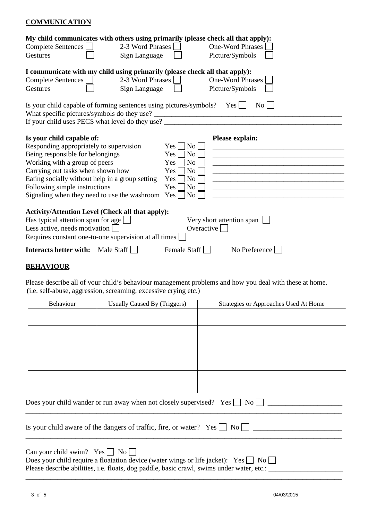## **COMMUNICATION**

| My child communicates with others using primarily (please check all that apply):  |                                    |
|-----------------------------------------------------------------------------------|------------------------------------|
| Complete Sentences<br>2-3 Word Phrases                                            | <b>One-Word Phrases</b>            |
| Sign Language<br>Gestures                                                         | Picture/Symbols                    |
| I communicate with my child using primarily (please check all that apply):        |                                    |
| Complete Sentences<br>2-3 Word Phrases                                            | <b>One-Word Phrases</b>            |
| Gestures<br>Sign Language                                                         | Picture/Symbols                    |
| Is your child capable of forming sentences using pictures/symbols? Yes $\Box$     | $\rm{No}$                          |
| What specific pictures/symbols do they use?                                       |                                    |
| If your child uses PECS what level do they use? _________________________________ |                                    |
| Is your child capable of:                                                         | Please explain:                    |
| Responding appropriately to supervision                                           | No<br>Yes                          |
| Being responsible for belongings                                                  | No<br>Yes                          |
| Working with a group of peers                                                     | No<br>Yes                          |
| Carrying out tasks when shown how                                                 | Yes<br>N <sub>o</sub>              |
| Eating socially without help in a group setting                                   | No<br>Yes                          |
| Following simple instructions                                                     | Yes<br>N <sub>o</sub>              |
| Signaling when they need to use the washroom                                      | $\overline{\phantom{1}}$ No<br>Yes |
| <b>Activity/Attention Level (Check all that apply):</b>                           |                                    |
| Has typical attention span for age $\Box$                                         | Very short attention span          |
| Less active, needs motivation                                                     | Overactive                         |
| Requires constant one-to-one supervision at all times                             |                                    |
| <b>Interacts better with:</b><br>Male Staff                                       | Female Staff<br>No Preference      |
|                                                                                   |                                    |

# **BEHAVIOUR**

Please describe all of your child's behaviour management problems and how you deal with these at home. (i.e. self-abuse, aggression, screaming, excessive crying etc.)

| Behaviour                       | Usually Caused By (Triggers)                                                                                                                                                                | Strategies or Approaches Used At Home |
|---------------------------------|---------------------------------------------------------------------------------------------------------------------------------------------------------------------------------------------|---------------------------------------|
|                                 |                                                                                                                                                                                             |                                       |
|                                 |                                                                                                                                                                                             |                                       |
|                                 |                                                                                                                                                                                             |                                       |
|                                 |                                                                                                                                                                                             |                                       |
|                                 |                                                                                                                                                                                             |                                       |
|                                 |                                                                                                                                                                                             |                                       |
|                                 |                                                                                                                                                                                             |                                       |
|                                 |                                                                                                                                                                                             |                                       |
|                                 | Does your child wander or run away when not closely supervised? Yes $\Box$ No $\Box$                                                                                                        |                                       |
|                                 | Is your child aware of the dangers of traffic, fire, or water? $Yes \cup No \cup \dots$                                                                                                     |                                       |
| Can your child swim? $Yes \tNo$ | Does your child require a floatation device (water wings or life jacket): Yes $\Box$ No $\Box$<br>Please describe abilities, i.e. floats, dog paddle, basic crawl, swims under water, etc.: |                                       |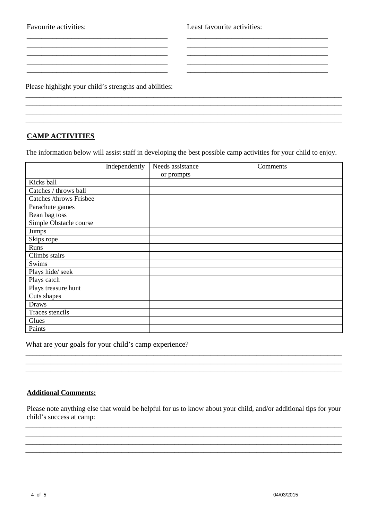Favourite activities:<br>
Least favourite activities:

Please highlight your child's strengths and abilities:

# **CAMP ACTIVITIES**

The information below will assist staff in developing the best possible camp activities for your child to enjoy.

\_\_\_\_\_\_\_\_\_\_\_\_\_\_\_\_\_\_\_\_\_\_\_\_\_\_\_\_\_\_\_\_\_\_\_\_\_\_\_\_\_\_\_\_\_\_\_\_\_\_\_\_\_\_\_\_\_\_\_\_\_\_\_\_\_\_\_\_\_\_\_\_\_\_\_\_\_\_\_\_\_\_\_\_\_\_\_\_\_

\_\_\_\_\_\_\_\_\_\_\_\_\_\_\_\_\_\_\_\_\_\_\_\_\_\_\_\_\_\_\_\_\_\_\_\_\_\_\_\_\_\_\_\_\_\_\_\_\_\_\_\_\_\_\_\_\_\_\_\_\_\_\_\_\_\_\_\_\_\_\_\_\_\_\_\_\_\_\_\_\_\_\_\_\_\_\_\_\_

\_\_\_\_\_\_\_\_\_\_\_\_\_\_\_\_\_\_\_\_\_\_\_\_\_\_\_\_\_\_\_\_\_\_\_\_\_\_ \_\_\_\_\_\_\_\_\_\_\_\_\_\_\_\_\_\_\_\_\_\_\_\_\_\_\_\_\_\_\_\_\_\_\_\_\_\_  $\mathcal{L}_\text{max}$ \_\_\_\_\_\_\_\_\_\_\_\_\_\_\_\_\_\_\_\_\_\_\_\_\_\_\_\_\_\_\_\_\_\_\_\_\_\_ \_\_\_\_\_\_\_\_\_\_\_\_\_\_\_\_\_\_\_\_\_\_\_\_\_\_\_\_\_\_\_\_\_\_\_\_\_\_ \_\_\_\_\_\_\_\_\_\_\_\_\_\_\_\_\_\_\_\_\_\_\_\_\_\_\_\_\_\_\_\_\_\_\_\_\_\_ \_\_\_\_\_\_\_\_\_\_\_\_\_\_\_\_\_\_\_\_\_\_\_\_\_\_\_\_\_\_\_\_\_\_\_\_\_\_ \_\_\_\_\_\_\_\_\_\_\_\_\_\_\_\_\_\_\_\_\_\_\_\_\_\_\_\_\_\_\_\_\_\_\_\_\_\_ \_\_\_\_\_\_\_\_\_\_\_\_\_\_\_\_\_\_\_\_\_\_\_\_\_\_\_\_\_\_\_\_\_\_\_\_\_\_

|                                | Independently | Needs assistance | Comments |
|--------------------------------|---------------|------------------|----------|
|                                |               | or prompts       |          |
| Kicks ball                     |               |                  |          |
| Catches / throws ball          |               |                  |          |
| <b>Catches /throws Frisbee</b> |               |                  |          |
| Parachute games                |               |                  |          |
| Bean bag toss                  |               |                  |          |
| Simple Obstacle course         |               |                  |          |
| Jumps                          |               |                  |          |
| Skips rope                     |               |                  |          |
| Runs                           |               |                  |          |
| Climbs stairs                  |               |                  |          |
| Swims                          |               |                  |          |
| Plays hide/seek                |               |                  |          |
| Plays catch                    |               |                  |          |
| Plays treasure hunt            |               |                  |          |
| Cuts shapes                    |               |                  |          |
| Draws                          |               |                  |          |
| Traces stencils                |               |                  |          |
| Glues                          |               |                  |          |
| Paints                         |               |                  |          |

What are your goals for your child's camp experience?

# **Additional Comments:**

Please note anything else that would be helpful for us to know about your child, and/or additional tips for your child's success at camp:

\_\_\_\_\_\_\_\_\_\_\_\_\_\_\_\_\_\_\_\_\_\_\_\_\_\_\_\_\_\_\_\_\_\_\_\_\_\_\_\_\_\_\_\_\_\_\_\_\_\_\_\_\_\_\_\_\_\_\_\_\_\_\_\_\_\_\_\_\_\_\_\_\_\_\_\_\_\_\_\_\_\_\_\_\_\_\_\_\_ \_\_\_\_\_\_\_\_\_\_\_\_\_\_\_\_\_\_\_\_\_\_\_\_\_\_\_\_\_\_\_\_\_\_\_\_\_\_\_\_\_\_\_\_\_\_\_\_\_\_\_\_\_\_\_\_\_\_\_\_\_\_\_\_\_\_\_\_\_\_\_\_\_\_\_\_\_\_\_\_\_\_\_\_\_\_\_\_\_ \_\_\_\_\_\_\_\_\_\_\_\_\_\_\_\_\_\_\_\_\_\_\_\_\_\_\_\_\_\_\_\_\_\_\_\_\_\_\_\_\_\_\_\_\_\_\_\_\_\_\_\_\_\_\_\_\_\_\_\_\_\_\_\_\_\_\_\_\_\_\_\_\_\_\_\_\_\_\_\_\_\_\_\_\_\_\_\_\_ \_\_\_\_\_\_\_\_\_\_\_\_\_\_\_\_\_\_\_\_\_\_\_\_\_\_\_\_\_\_\_\_\_\_\_\_\_\_\_\_\_\_\_\_\_\_\_\_\_\_\_\_\_\_\_\_\_\_\_\_\_\_\_\_\_\_\_\_\_\_\_\_\_\_\_\_\_\_\_\_\_\_\_\_\_\_\_\_\_

\_\_\_\_\_\_\_\_\_\_\_\_\_\_\_\_\_\_\_\_\_\_\_\_\_\_\_\_\_\_\_\_\_\_\_\_\_\_\_\_\_\_\_\_\_\_\_\_\_\_\_\_\_\_\_\_\_\_\_\_\_\_\_\_\_\_\_\_\_\_\_\_\_\_\_\_\_\_\_\_\_\_\_\_\_\_\_\_\_ \_\_\_\_\_\_\_\_\_\_\_\_\_\_\_\_\_\_\_\_\_\_\_\_\_\_\_\_\_\_\_\_\_\_\_\_\_\_\_\_\_\_\_\_\_\_\_\_\_\_\_\_\_\_\_\_\_\_\_\_\_\_\_\_\_\_\_\_\_\_\_\_\_\_\_\_\_\_\_\_\_\_\_\_\_\_\_\_\_ \_\_\_\_\_\_\_\_\_\_\_\_\_\_\_\_\_\_\_\_\_\_\_\_\_\_\_\_\_\_\_\_\_\_\_\_\_\_\_\_\_\_\_\_\_\_\_\_\_\_\_\_\_\_\_\_\_\_\_\_\_\_\_\_\_\_\_\_\_\_\_\_\_\_\_\_\_\_\_\_\_\_\_\_\_\_\_\_\_